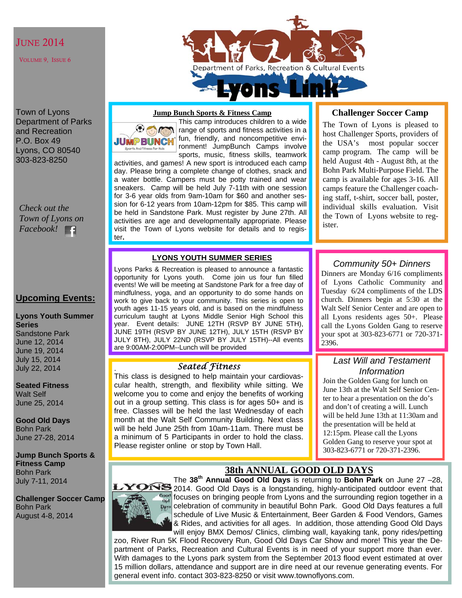#### **JUNE 2014**

VOLUME 9, ISSUE 6

Town of Lyons Department of Parks and Recreation P.O. Box 49 Lyons, CO 80540 303-823-8250

*Check out the Town of Lyons on Facebook!* 

### **Upcoming Events:**

#### **Lyons Youth Summer Series**

Sandstone Park June 12, 2014 June 19, 2014 July 15, 2014 July 22, 2014

**Seated Fitness**  Walt Self June 25, 2014

**Good Old Days**  Bohn Park June 27-28, 2014

**Jump Bunch Sports & Fitness Camp**  Bohn Park July 7-11, 2014

**Challenger Soccer Camp**  Bohn Park August 4-8, 2014



#### **Jump Bunch Sports & Fitness Camp**

**JUMPBUNCH** Sports And Fitness For Kide

This camp introduces children to a wide **I** range of sports and fitness activities in a fun, friendly, and noncompetitive environment! JumpBunch Camps involve sports, music, fitness skills, teamwork

activities, and games! A new sport is introduced each camp day. Please bring a complete change of clothes, snack and a water bottle. Campers must be potty trained and wear sneakers. Camp will be held July 7-11th with one session for 3-6 year olds from 9am-10am for \$60 and another session for 6-12 years from 10am-12pm for \$85. This camp will be held in Sandstone Park. Must register by June 27th. All activities are age and developmentally appropriate. Please visit the Town of Lyons website for details and to register**.** 

#### **LYONS YOUTH SUMMER SERIES**

Lyons Parks & Recreation is pleased to announce a fantastic opportunity for Lyons youth. Come join us four fun filled events! We will be meeting at Sandstone Park for a free day of mindfulness, yoga, and an opportunity to do some hands on work to give back to your community. This series is open to youth ages 11-15 years old, and is based on the mindfulness curriculum taught at Lyons Middle Senior High School this year. Event details: JUNE 12TH (RSVP BY JUNE 5TH), JUNE 19TH (RSVP BY JUNE 12TH), JULY 15TH (RSVP BY JULY 8TH), JULY 22ND (RSVP BY JULY 15TH)--All events are 9:00AM-2:00PM--Lunch will be provided

#### *Seated Fitness*

. This class is designed to help maintain your cardiovascular health, strength, and flexibility while sitting. We welcome you to come and enjoy the benefits of working out in a group setting. This class is for ages 50+ and is free. Classes will be held the last Wednesday of each month at the Walt Self Community Building. Next class will be held June 25th from 10am-11am. There must be a minimum of 5 Participants in order to hold the class. Please register online or stop by Town Hall.

#### **Challenger Soccer Camp**

The Town of Lyons is pleased to host Challenger Sports, providers of the USA's most popular soccer camp program. The camp will be held August 4th - August 8th, at the Bohn Park Multi-Purpose Field. The camp is available for ages 3-16. All camps feature the Challenger coaching staff, t-shirt, soccer ball, poster, individual skills evaluation. Visit the Town of Lyons website to register.

#### *Community 50+ Dinners*

Dinners are Monday 6/16 compliments of Lyons Catholic Community and Tuesday 6/24 compliments of the LDS church. Dinners begin at 5:30 at the Walt Self Senior Center and are open to all Lyons residents ages 50+. Please call the Lyons Golden Gang to reserve your spot at 303-823-6771 or 720-371- 2396.

#### *Last Will and Testament Information*

Join the Golden Gang for lunch on June 13th at the Walt Self Senior Center to hear a presentation on the do's and don't of creating a will. Lunch will be held June 13th at 11:30am and the presentation will be held at 12:15pm. Please call the Lyons Golden Gang to reserve your spot at 303-823-6771 or 720-371-2396.

L

# **38th ANNUAL GOOD OLD DAYS**

The **38th Annual Good Old Days** is returning to **Bohn Park** on June 27 –28, 2014. Good Old Days is a longstanding, highly-anticipated outdoor event that focuses on bringing people from Lyons and the surrounding region together in a celebration of community in beautiful Bohn Park. Good Old Days features a full schedule of Live Music & Entertainment, Beer Garden & Food Vendors, Games & Rides, and activities for all ages. In addition, those attending Good Old Days will enjoy BMX Demos/ Clinics, climbing wall, kayaking tank, pony rides/petting

zoo, River Run 5K Flood Recovery Run, Good Old Days Car Show and more! This year the Department of Parks, Recreation and Cultural Events is in need of your support more than ever. With damages to the Lyons park system from the September 2013 flood event estimated at over 15 million dollars, attendance and support are in dire need at our revenue generating events. For general event info. contact 303-823-8250 or visit www.townoflyons.com.